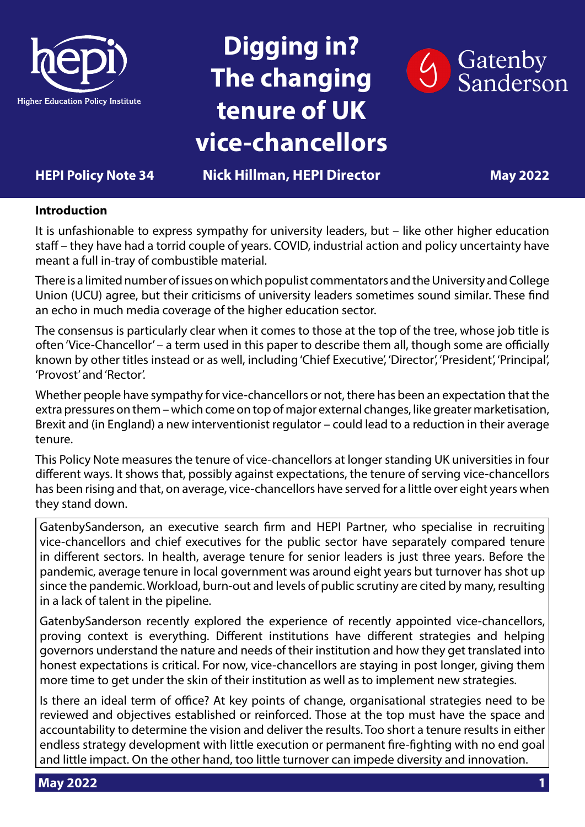

## **Digging in? The changing tenure of UK vice-chancellors**



### **HEPI Policy Note 34 Nick Hillman, HEPI Director May 2022**

#### **Introduction**

It is unfashionable to express sympathy for university leaders, but – like other higher education staff – they have had a torrid couple of years. COVID, industrial action and policy uncertainty have meant a full in-tray of combustible material.

There is a limited number of issues on which populist commentators and the University and College Union (UCU) agree, but their criticisms of university leaders sometimes sound similar. These find an echo in much media coverage of the higher education sector.

The consensus is particularly clear when it comes to those at the top of the tree, whose job title is often 'Vice-Chancellor' – a term used in this paper to describe them all, though some are officially known by other titles instead or as well, including 'Chief Executive', 'Director', 'President', 'Principal', 'Provost' and 'Rector'.

Whether people have sympathy for vice-chancellors or not, there has been an expectation that the extra pressures on them – which come on top of major external changes, like greater marketisation, Brexit and (in England) a new interventionist regulator – could lead to a reduction in their average tenure.

This Policy Note measures the tenure of vice-chancellors at longer standing UK universities in four different ways. It shows that, possibly against expectations, the tenure of serving vice-chancellors has been rising and that, on average, vice-chancellors have served for a little over eight years when they stand down.

GatenbySanderson, an executive search firm and HEPI Partner, who specialise in recruiting vice-chancellors and chief executives for the public sector have separately compared tenure in different sectors. In health, average tenure for senior leaders is just three years. Before the pandemic, average tenure in local government was around eight years but turnover has shot up since the pandemic. Workload, burn-out and levels of public scrutiny are cited by many, resulting in a lack of talent in the pipeline.

GatenbySanderson recently explored the experience of recently appointed vice-chancellors, proving context is everything. Different institutions have different strategies and helping governors understand the nature and needs of their institution and how they get translated into honest expectations is critical. For now, vice-chancellors are staying in post longer, giving them more time to get under the skin of their institution as well as to implement new strategies.

Is there an ideal term of office? At key points of change, organisational strategies need to be reviewed and objectives established or reinforced. Those at the top must have the space and accountability to determine the vision and deliver the results. Too short a tenure results in either endless strategy development with little execution or permanent fire-fighting with no end goal and little impact. On the other hand, too little turnover can impede diversity and innovation.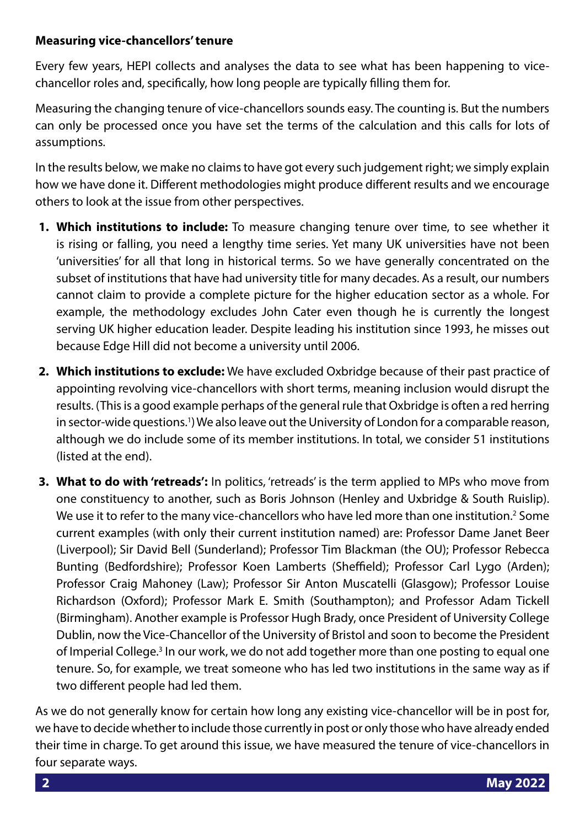#### **Measuring vice-chancellors' tenure**

Every few years, HEPI collects and analyses the data to see what has been happening to vicechancellor roles and, specifically, how long people are typically filling them for.

Measuring the changing tenure of vice-chancellors sounds easy. The counting is. But the numbers can only be processed once you have set the terms of the calculation and this calls for lots of assumptions.

In the results below, we make no claims to have got every such judgement right; we simply explain how we have done it. Different methodologies might produce different results and we encourage others to look at the issue from other perspectives.

- **1. Which institutions to include:** To measure changing tenure over time, to see whether it is rising or falling, you need a lengthy time series. Yet many UK universities have not been 'universities' for all that long in historical terms. So we have generally concentrated on the subset of institutions that have had university title for many decades. As a result, our numbers cannot claim to provide a complete picture for the higher education sector as a whole. For example, the methodology excludes John Cater even though he is currently the longest serving UK higher education leader. Despite leading his institution since 1993, he misses out because Edge Hill did not become a university until 2006.
- **2. Which institutions to exclude:** We have excluded Oxbridge because of their past practice of appointing revolving vice-chancellors with short terms, meaning inclusion would disrupt the results. (This is a good example perhaps of the general rule that Oxbridge is often a red herring in sector-wide questions.<sup>1</sup>) We also leave out the University of London for a comparable reason, although we do include some of its member institutions. In total, we consider 51 institutions (listed at the end).
- **3. What to do with 'retreads':** In politics, 'retreads' is the term applied to MPs who move from one constituency to another, such as Boris Johnson (Henley and Uxbridge & South Ruislip). We use it to refer to the many vice-chancellors who have led more than one institution.<sup>2</sup> Some current examples (with only their current institution named) are: Professor Dame Janet Beer (Liverpool); Sir David Bell (Sunderland); Professor Tim Blackman (the OU); Professor Rebecca Bunting (Bedfordshire); Professor Koen Lamberts (Sheffield); Professor Carl Lygo (Arden); Professor Craig Mahoney (Law); Professor Sir Anton Muscatelli (Glasgow); Professor Louise Richardson (Oxford); Professor Mark E. Smith (Southampton); and Professor Adam Tickell (Birmingham). Another example is Professor Hugh Brady, once President of University College Dublin, now the Vice-Chancellor of the University of Bristol and soon to become the President of Imperial College.<sup>3</sup> In our work, we do not add together more than one posting to equal one tenure. So, for example, we treat someone who has led two institutions in the same way as if two different people had led them.

As we do not generally know for certain how long any existing vice-chancellor will be in post for, we have to decide whether to include those currently in post or only those who have already ended their time in charge. To get around this issue, we have measured the tenure of vice-chancellors in four separate ways.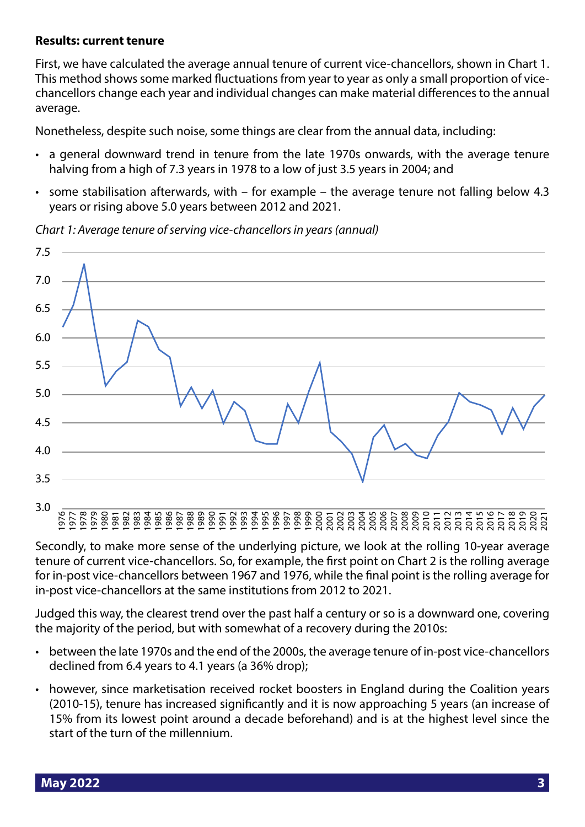#### **Results: current tenure**

First, we have calculated the average annual tenure of current vice-chancellors, shown in Chart 1. This method shows some marked fluctuations from year to year as only a small proportion of vicechancellors change each year and individual changes can make material differences to the annual average.

Nonetheless, despite such noise, some things are clear from the annual data, including:

- a general downward trend in tenure from the late 1970s onwards, with the average tenure halving from a high of 7.3 years in 1978 to a low of just 3.5 years in 2004; and
- some stabilisation afterwards, with for example the average tenure not falling below 4.3 years or rising above 5.0 years between 2012 and 2021.

*Chart 1: Average tenure of serving vice-chancellors in years (annual)*



Secondly, to make more sense of the underlying picture, we look at the rolling 10-year average tenure of current vice-chancellors. So, for example, the first point on Chart 2 is the rolling average for in-post vice-chancellors between 1967 and 1976, while the final point is the rolling average for in-post vice-chancellors at the same institutions from 2012 to 2021.

Judged this way, the clearest trend over the past half a century or so is a downward one, covering the majority of the period, but with somewhat of a recovery during the 2010s:

- between the late 1970s and the end of the 2000s, the average tenure of in-post vice-chancellors declined from 6.4 years to 4.1 years (a 36% drop);
- however, since marketisation received rocket boosters in England during the Coalition years (2010-15), tenure has increased significantly and it is now approaching 5 years (an increase of 15% from its lowest point around a decade beforehand) and is at the highest level since the start of the turn of the millennium.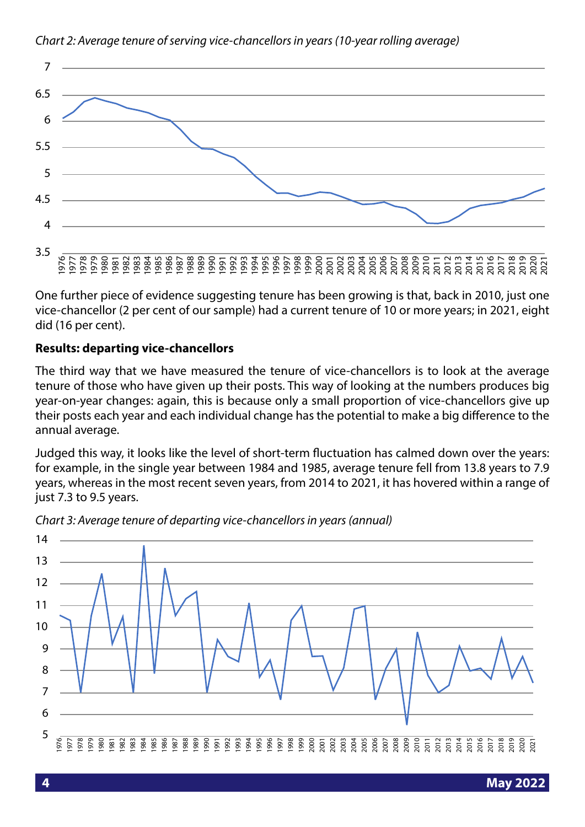

#### *Chart 2: Average tenure of serving vice-chancellors in years (10-year rolling average)*

One further piece of evidence suggesting tenure has been growing is that, back in 2010, just one vice-chancellor (2 per cent of our sample) had a current tenure of 10 or more years; in 2021, eight did (16 per cent).

#### **Results: departing vice-chancellors**

The third way that we have measured the tenure of vice-chancellors is to look at the average tenure of those who have given up their posts. This way of looking at the numbers produces big year-on-year changes: again, this is because only a small proportion of vice-chancellors give up their posts each year and each individual change has the potential to make a big difference to the annual average.

Judged this way, it looks like the level of short-term fluctuation has calmed down over the years: for example, in the single year between 1984 and 1985, average tenure fell from 13.8 years to 7.9 years, whereas in the most recent seven years, from 2014 to 2021, it has hovered within a range of just 7.3 to 9.5 years.



*Chart 3: Average tenure of departing vice-chancellors in years (annual)*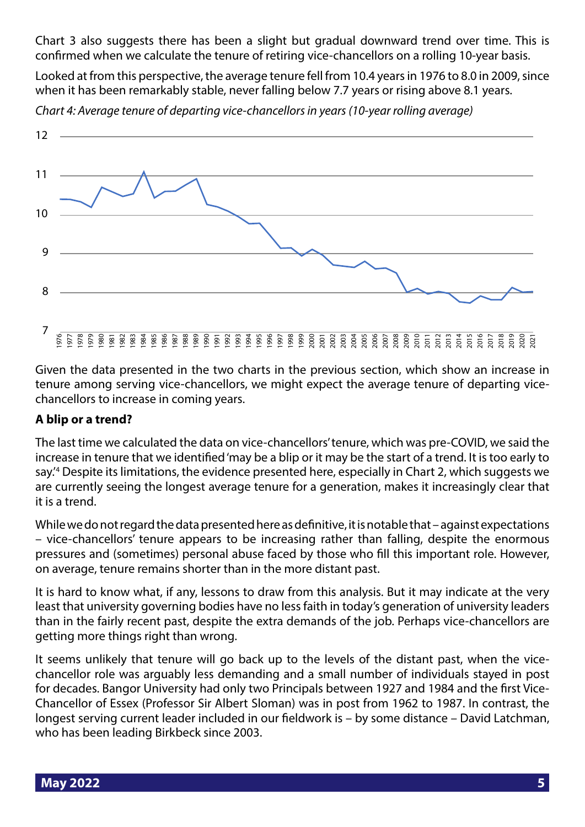Chart 3 also suggests there has been a slight but gradual downward trend over time. This is confirmed when we calculate the tenure of retiring vice-chancellors on a rolling 10-year basis.

Looked at from this perspective, the average tenure fell from 10.4 years in 1976 to 8.0 in 2009, since when it has been remarkably stable, never falling below 7.7 years or rising above 8.1 years.



*Chart 4: Average tenure of departing vice-chancellors in years (10-year rolling average)*

Given the data presented in the two charts in the previous section, which show an increase in tenure among serving vice-chancellors, we might expect the average tenure of departing vicechancellors to increase in coming years.

#### **A blip or a trend?**

The last time we calculated the data on vice-chancellors' tenure, which was pre-COVID, we said the increase in tenure that we identified 'may be a blip or it may be the start of a trend. It is too early to say.'4 Despite its limitations, the evidence presented here, especially in Chart 2, which suggests we are currently seeing the longest average tenure for a generation, makes it increasingly clear that it is a trend.

While we do not regard the data presented here as definitive, it is notable that – against expectations – vice-chancellors' tenure appears to be increasing rather than falling, despite the enormous pressures and (sometimes) personal abuse faced by those who fill this important role. However, on average, tenure remains shorter than in the more distant past.

It is hard to know what, if any, lessons to draw from this analysis. But it may indicate at the very least that university governing bodies have no less faith in today's generation of university leaders than in the fairly recent past, despite the extra demands of the job. Perhaps vice-chancellors are getting more things right than wrong.

It seems unlikely that tenure will go back up to the levels of the distant past, when the vicechancellor role was arguably less demanding and a small number of individuals stayed in post for decades. Bangor University had only two Principals between 1927 and 1984 and the first Vice-Chancellor of Essex (Professor Sir Albert Sloman) was in post from 1962 to 1987. In contrast, the longest serving current leader included in our fieldwork is – by some distance – David Latchman, who has been leading Birkbeck since 2003.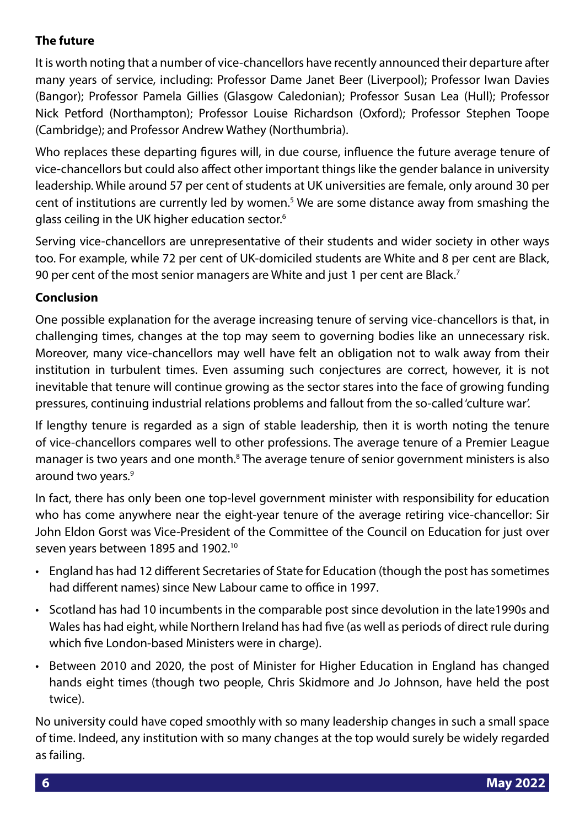### **The future**

It is worth noting that a number of vice-chancellors have recently announced their departure after many years of service, including: Professor Dame Janet Beer (Liverpool); Professor Iwan Davies (Bangor); Professor Pamela Gillies (Glasgow Caledonian); Professor Susan Lea (Hull); Professor Nick Petford (Northampton); Professor Louise Richardson (Oxford); Professor Stephen Toope (Cambridge); and Professor Andrew Wathey (Northumbria).

Who replaces these departing figures will, in due course, influence the future average tenure of vice-chancellors but could also affect other important things like the gender balance in university leadership. While around 57 per cent of students at UK universities are female, only around 30 per cent of institutions are currently led by women.<sup>5</sup> We are some distance away from smashing the glass ceiling in the UK higher education sector.<sup>6</sup>

Serving vice-chancellors are unrepresentative of their students and wider society in other ways too. For example, while 72 per cent of UK-domiciled students are White and 8 per cent are Black, 90 per cent of the most senior managers are White and just 1 per cent are Black.<sup>7</sup>

#### **Conclusion**

One possible explanation for the average increasing tenure of serving vice-chancellors is that, in challenging times, changes at the top may seem to governing bodies like an unnecessary risk. Moreover, many vice-chancellors may well have felt an obligation not to walk away from their institution in turbulent times. Even assuming such conjectures are correct, however, it is not inevitable that tenure will continue growing as the sector stares into the face of growing funding pressures, continuing industrial relations problems and fallout from the so-called 'culture war'.

If lengthy tenure is regarded as a sign of stable leadership, then it is worth noting the tenure of vice-chancellors compares well to other professions. The average tenure of a Premier League manager is two years and one month.<sup>8</sup> The average tenure of senior government ministers is also around two years.9

In fact, there has only been one top-level government minister with responsibility for education who has come anywhere near the eight-year tenure of the average retiring vice-chancellor: Sir John Eldon Gorst was Vice-President of the Committee of the Council on Education for just over seven years between 1895 and 1902.10

- England has had 12 different Secretaries of State for Education (though the post has sometimes had different names) since New Labour came to office in 1997.
- Scotland has had 10 incumbents in the comparable post since devolution in the late1990s and Wales has had eight, while Northern Ireland has had five (as well as periods of direct rule during which five London-based Ministers were in charge).
- Between 2010 and 2020, the post of Minister for Higher Education in England has changed hands eight times (though two people, Chris Skidmore and Jo Johnson, have held the post twice).

No university could have coped smoothly with so many leadership changes in such a small space of time. Indeed, any institution with so many changes at the top would surely be widely regarded as failing.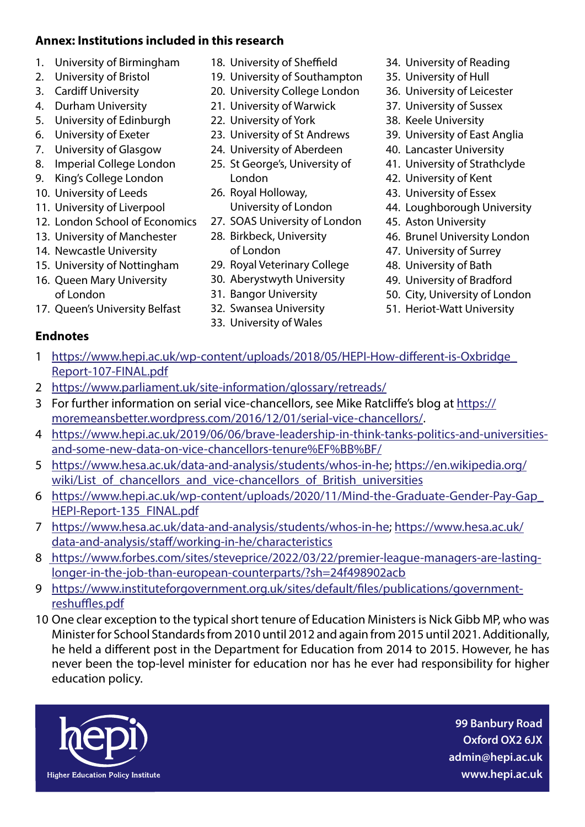#### **Annex: Institutions included in this research**

- 1. University of Birmingham
- 2. University of Bristol
- 3. Cardiff University
- 4. Durham University
- 5. University of Edinburgh
- 6. University of Exeter
- 7. University of Glasgow
- 8. Imperial College London
- 9. King's College London
- 10. University of Leeds
- 11. University of Liverpool
- 12. London School of Economics
- 13. University of Manchester
- 14. Newcastle University
- 15. University of Nottingham
- 16. Queen Mary University of London
- 17. Queen's University Belfast
- **Endnotes**
- 18. University of Sheffield
- 19. University of Southampton
- 20. University College London
- 21. University of Warwick
- 22. University of York
- 23. University of St Andrews
- 24. University of Aberdeen
- 25. St George's, University of London
- 26. Royal Holloway, University of London
- 27. SOAS University of London
- 28. Birkbeck, University of London
- 29. Royal Veterinary College
- 30. Aberystwyth University
- 31. Bangor University
- 32. Swansea University
- 33. University of Wales
- 34. University of Reading
- 35. University of Hull
- 36. University of Leicester
- 37. University of Sussex
- 38. Keele University
- 39. University of East Anglia
- 40. Lancaster University
- 41. University of Strathclyde
- 42. University of Kent
- 43. University of Essex
- 44. Loughborough University
- 45. Aston University
- 46. Brunel University London
- 47. University of Surrey
- 48. University of Bath
- 49. University of Bradford
- 50. City, University of London
- 51. Heriot-Watt University
- 1 [https://www.hepi.ac.uk/wp-content/uploads/2018/05/HEPI-How-different-is-Oxbridge\\_](https://www.hepi.ac.uk/wp-content/uploads/2018/05/HEPI-How-different-is-Oxbridge_Report-107-FINAL.pdf) [Report-107-FINAL.pdf](https://www.hepi.ac.uk/wp-content/uploads/2018/05/HEPI-How-different-is-Oxbridge_Report-107-FINAL.pdf)
- 2 <https://www.parliament.uk/site-information/glossary/retreads/>
- 3 For further information on serial vice-chancellors, see Mike Ratcliffe's blog at [https://](https://moremeansbetter.wordpress.com/2016/12/01/serial-vice-chancellors/) [moremeansbetter.wordpress.com/2016/12/01/serial-vice-chancellors/.](https://moremeansbetter.wordpress.com/2016/12/01/serial-vice-chancellors/)
- 4 [https://www.hepi.ac.uk/2019/06/06/brave-leadership-in-think-tanks-politics-and-universities](https://www.hepi.ac.uk/2019/06/06/brave-leadership-in-think-tanks-politics-and-universities-and-some-new-data-on-vice-chancellors-tenure%EF%BB%BF/)[and-some-new-data-on-vice-chancellors-tenure%EF%BB%BF/](https://www.hepi.ac.uk/2019/06/06/brave-leadership-in-think-tanks-politics-and-universities-and-some-new-data-on-vice-chancellors-tenure%EF%BB%BF/)
- 5 <https://www.hesa.ac.uk/data-and-analysis/students/whos-in-he>; [https://en.wikipedia.org/](https://en.wikipedia.org/wiki/List_of_chancellors_and_vice-chancellors_of_British_universities) wiki/List of chancellors and vice-chancellors of British universities
- 6 [https://www.hepi.ac.uk/wp-content/uploads/2020/11/Mind-the-Graduate-Gender-Pay-Gap\\_](https://www.hepi.ac.uk/wp-content/uploads/2020/11/Mind-the-Graduate-Gender-Pay-Gap_HEPI-Report-135_FINAL.pdf) [HEPI-Report-135\\_FINAL.pdf](https://www.hepi.ac.uk/wp-content/uploads/2020/11/Mind-the-Graduate-Gender-Pay-Gap_HEPI-Report-135_FINAL.pdf)
- 7 <https://www.hesa.ac.uk/data-and-analysis/students/whos-in-he>; [https://www.hesa.ac.uk/](https://www.hesa.ac.uk/data-and-analysis/staff/working-in-he/characteristics) [data-and-analysis/staff/working-in-he/characteristics](https://www.hesa.ac.uk/data-and-analysis/staff/working-in-he/characteristics)
- 8 [https://www.forbes.com/sites/steveprice/2022/03/22/premier-league-managers-are-lasting](https://www.forbes.com/sites/steveprice/2022/03/22/premier-league-managers-are-lasting-longer-in-the-job-than-european-counterparts/?sh=24f498902acb)[longer-in-the-job-than-european-counterparts/?sh=24f498902acb](https://www.forbes.com/sites/steveprice/2022/03/22/premier-league-managers-are-lasting-longer-in-the-job-than-european-counterparts/?sh=24f498902acb)
- 9 [https://www.instituteforgovernment.org.uk/sites/default/files/publications/government](https://www.instituteforgovernment.org.uk/sites/default/files/publications/government-reshuffles.pdf)[reshuffles.pdf](https://www.instituteforgovernment.org.uk/sites/default/files/publications/government-reshuffles.pdf)
- 10 One clear exception to the typical short tenure of Education Ministers is Nick Gibb MP, who was Minister for School Standards from 2010 until 2012 and again from 2015 until 2021. Additionally, he held a different post in the Department for Education from 2014 to 2015. However, he has never been the top-level minister for education nor has he ever had responsibility for higher education policy.



**99 Banbury Road Oxford OX2 6JX admin@hepi.ac.uk www.hepi.ac.uk**